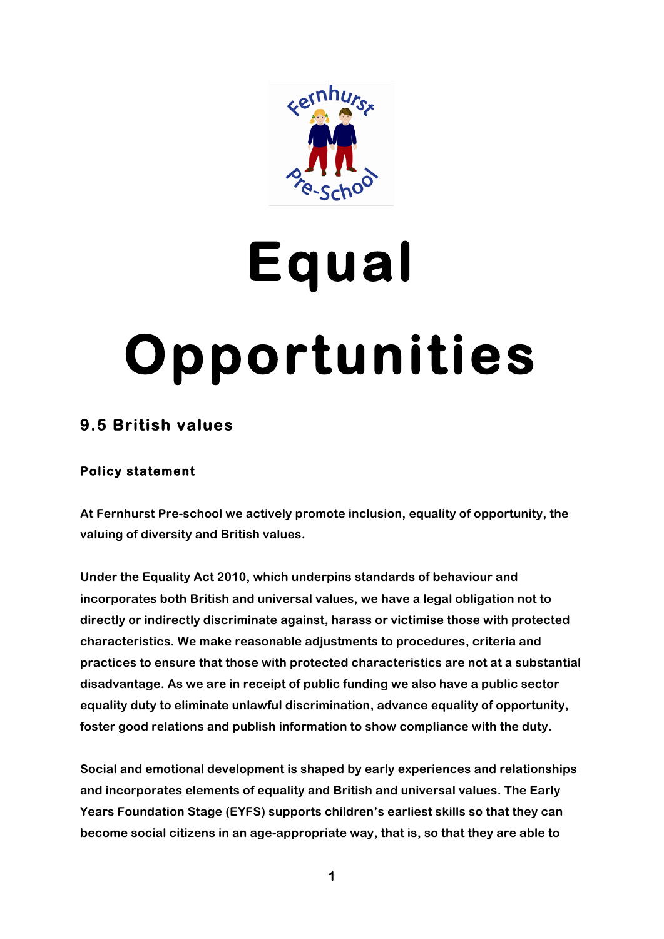

# **Equal Opportunities**

# **9.5 British values**

# **Policy statement**

**At Fernhurst Pre-school we actively promote inclusion, equality of opportunity, the valuing of diversity and British values.** 

**Under the Equality Act 2010, which underpins standards of behaviour and incorporates both British and universal values, we have a legal obligation not to directly or indirectly discriminate against, harass or victimise those with protected characteristics. We make reasonable adjustments to procedures, criteria and practices to ensure that those with protected characteristics are not at a substantial disadvantage. As we are in receipt of public funding we also have a public sector equality duty to eliminate unlawful discrimination, advance equality of opportunity, foster good relations and publish information to show compliance with the duty.**

**Social and emotional development is shaped by early experiences and relationships and incorporates elements of equality and British and universal values. The Early Years Foundation Stage (EYFS) supports children's earliest skills so that they can become social citizens in an age-appropriate way, that is, so that they are able to**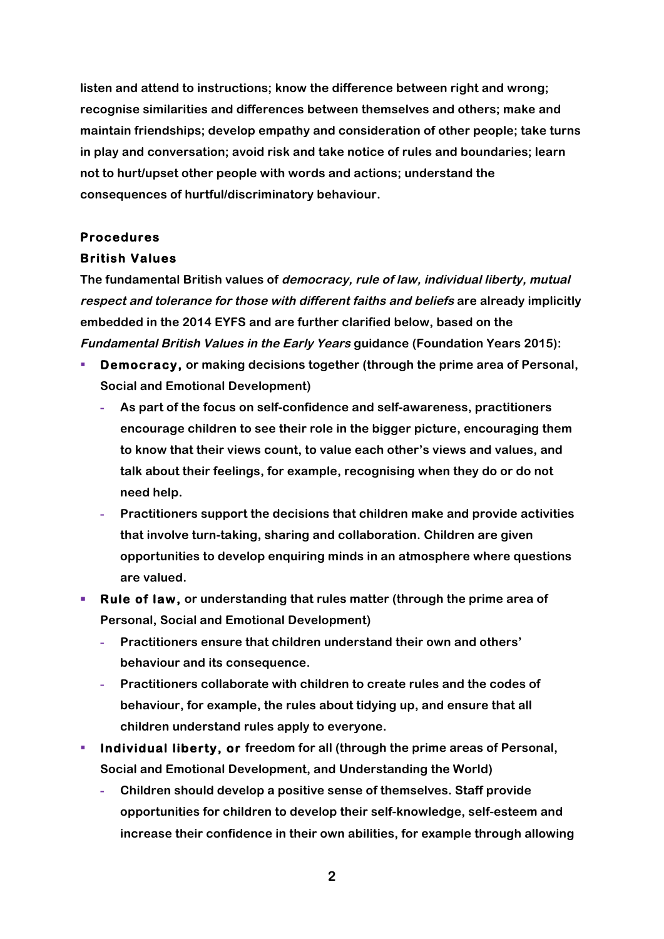**listen and attend to instructions; know the difference between right and wrong; recognise similarities and differences between themselves and others; make and maintain friendships; develop empathy and consideration of other people; take turns in play and conversation; avoid risk and take notice of rules and boundaries; learn not to hurt/upset other people with words and actions; understand the consequences of hurtful/discriminatory behaviour.**

### **Procedures**

#### **British Values**

**The fundamental British values of democracy, rule of law, individual liberty, mutual respect and tolerance for those with different faiths and beliefs are already implicitly embedded in the 2014 EYFS and are further clarified below, based on the Fundamental British Values in the Early Years guidance (Foundation Years 2015):**

- § **Democracy, or making decisions together (through the prime area of Personal, Social and Emotional Development)**
	- **- As part of the focus on self-confidence and self-awareness, practitioners encourage children to see their role in the bigger picture, encouraging them to know that their views count, to value each other's views and values, and talk about their feelings, for example, recognising when they do or do not need help.**
	- **- Practitioners support the decisions that children make and provide activities that involve turn-taking, sharing and collaboration. Children are given opportunities to develop enquiring minds in an atmosphere where questions are valued.**
- § **Rule of law, or understanding that rules matter (through the prime area of Personal, Social and Emotional Development)**
	- **- Practitioners ensure that children understand their own and others' behaviour and its consequence.**
	- **- Practitioners collaborate with children to create rules and the codes of behaviour, for example, the rules about tidying up, and ensure that all children understand rules apply to everyone.**
- **Individual liberty, or freedom for all (through the prime areas of Personal, Social and Emotional Development, and Understanding the World)** 
	- **- Children should develop a positive sense of themselves. Staff provide opportunities for children to develop their self-knowledge, self-esteem and increase their confidence in their own abilities, for example through allowing**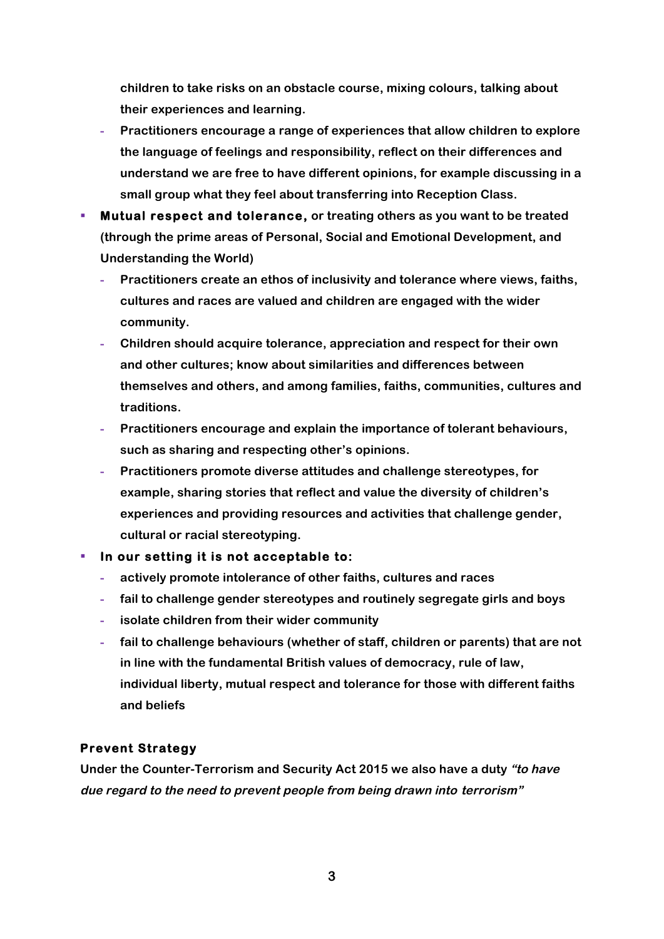**children to take risks on an obstacle course, mixing colours, talking about their experiences and learning.**

- **- Practitioners encourage a range of experiences that allow children to explore the language of feelings and responsibility, reflect on their differences and understand we are free to have different opinions, for example discussing in a small group what they feel about transferring into Reception Class.**
- § **Mutual respect and tolerance, or treating others as you want to be treated (through the prime areas of Personal, Social and Emotional Development, and Understanding the World)**
	- **- Practitioners create an ethos of inclusivity and tolerance where views, faiths, cultures and races are valued and children are engaged with the wider community.**
	- **- Children should acquire tolerance, appreciation and respect for their own and other cultures; know about similarities and differences between themselves and others, and among families, faiths, communities, cultures and traditions.**
	- **- Practitioners encourage and explain the importance of tolerant behaviours, such as sharing and respecting other's opinions.**
	- **- Practitioners promote diverse attitudes and challenge stereotypes, for example, sharing stories that reflect and value the diversity of children's experiences and providing resources and activities that challenge gender, cultural or racial stereotyping.**

#### § **In our setting it is not acceptable to:**

- **- actively promote intolerance of other faiths, cultures and races**
- **- fail to challenge gender stereotypes and routinely segregate girls and boys**
- **- isolate children from their wider community**
- **- fail to challenge behaviours (whether of staff, children or parents) that are not in line with the fundamental British values of democracy, rule of law, individual liberty, mutual respect and tolerance for those with different faiths and beliefs**

#### **Prevent Strategy**

**Under the Counter-Terrorism and Security Act 2015 we also have a duty "to have due regard to the need to prevent people from being drawn into terrorism"**